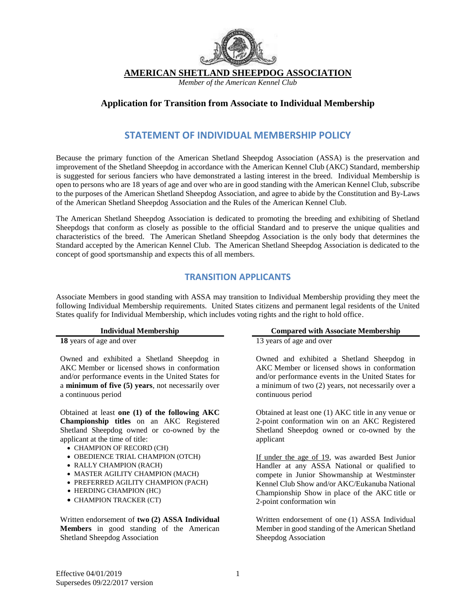

**AMERICAN SHETLAND SHEEPDOG ASSOCIATION**

*Member of the American Kennel Club*

#### **Application for Transition from Associate to Individual Membership**

## **STATEMENT OF INDIVIDUAL MEMBERSHIP POLICY**

Because the primary function of the American Shetland Sheepdog Association (ASSA) is the preservation and improvement of the Shetland Sheepdog in accordance with the American Kennel Club (AKC) Standard, membership is suggested for serious fanciers who have demonstrated a lasting interest in the breed. Individual Membership is open to persons who are 18 years of age and over who are in good standing with the American Kennel Club, subscribe to the purposes of the American Shetland Sheepdog Association, and agree to abide by the Constitution and By-Laws of the American Shetland Sheepdog Association and the Rules of the American Kennel Club.

The American Shetland Sheepdog Association is dedicated to promoting the breeding and exhibiting of Shetland Sheepdogs that conform as closely as possible to the official Standard and to preserve the unique qualities and characteristics of the breed. The American Shetland Sheepdog Association is the only body that determines the Standard accepted by the American Kennel Club. The American Shetland Sheepdog Association is dedicated to the concept of good sportsmanship and expects this of all members.

#### **TRANSITION APPLICANTS**

Associate Members in good standing with ASSA may transition to Individual Membership providing they meet the following Individual Membership requirements. United States citizens and permanent legal residents of the United States qualify for Individual Membership, which includes voting rights and the right to hold office.

Owned and exhibited a Shetland Sheepdog in AKC Member or licensed shows in conformation and/or performance events in the United States for a **minimum of five (5) years**, not necessarily over a continuous period

Obtained at least **one (1) of the following AKC Championship titles** on an AKC Registered Shetland Sheepdog owned or co-owned by the applicant at the time of title:

- CHAMPION OF RECORD (CH)
- OBEDIENCE TRIAL CHAMPION (OTCH)
- RALLY CHAMPION (RACH)
- MASTER AGILITY CHAMPION (MACH)
- PREFERRED AGILITY CHAMPION (PACH)
- HERDING CHAMPION (HC)
- CHAMPION TRACKER (CT)

Written endorsement of **two (2) ASSA Individual Members** in good standing of the American Shetland Sheepdog Association

#### **Individual Membership Compared with Associate Membership**

**18** years of age and over 13 years of age and over

Owned and exhibited a Shetland Sheepdog in AKC Member or licensed shows in conformation and/or performance events in the United States for a minimum of two (2) years, not necessarily over a continuous period

Obtained at least one (1) AKC title in any venue or 2-point conformation win on an AKC Registered Shetland Sheepdog owned or co-owned by the applicant

If under the age of 19, was awarded Best Junior Handler at any ASSA National or qualified to compete in Junior Showmanship at Westminster Kennel Club Show and/or AKC/Eukanuba National Championship Show in place of the AKC title or 2-point conformation win

Written endorsement of one (1) ASSA Individual Member in good standing of the American Shetland Sheepdog Association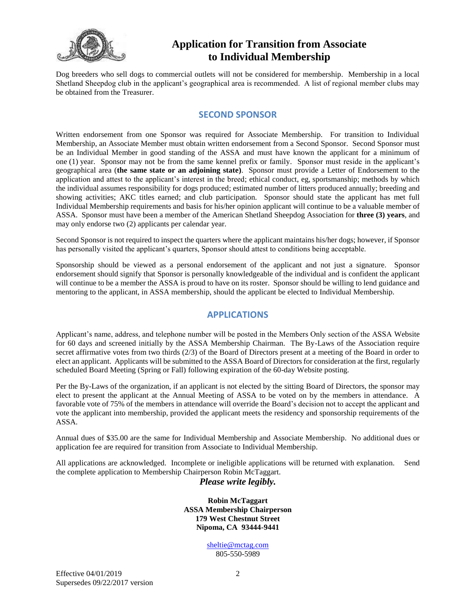

Dog breeders who sell dogs to commercial outlets will not be considered for membership. Membership in a local Shetland Sheepdog club in the applicant's geographical area is recommended. A list of regional member clubs may be obtained from the Treasurer.

#### **SECOND SPONSOR**

Written endorsement from one Sponsor was required for Associate Membership. For transition to Individual Membership, an Associate Member must obtain written endorsement from a Second Sponsor. Second Sponsor must be an Individual Member in good standing of the ASSA and must have known the applicant for a minimum of one (1) year. Sponsor may not be from the same kennel prefix or family. Sponsor must reside in the applicant's geographical area (**the same state or an adjoining state)**. Sponsor must provide a Letter of Endorsement to the application and attest to the applicant's interest in the breed; ethical conduct, eg, sportsmanship; methods by which the individual assumes responsibility for dogs produced; estimated number of litters produced annually; breeding and showing activities; AKC titles earned; and club participation. Sponsor should state the applicant has met full Individual Membership requirements and basis for his/her opinion applicant will continue to be a valuable member of ASSA. Sponsor must have been a member of the American Shetland Sheepdog Association for **three (3) years**, and may only endorse two (2) applicants per calendar year.

Second Sponsor is not required to inspect the quarters where the applicant maintains his/her dogs; however, if Sponsor has personally visited the applicant's quarters, Sponsor should attest to conditions being acceptable.

Sponsorship should be viewed as a personal endorsement of the applicant and not just a signature. Sponsor endorsement should signify that Sponsor is personally knowledgeable of the individual and is confident the applicant will continue to be a member the ASSA is proud to have on its roster. Sponsor should be willing to lend guidance and mentoring to the applicant, in ASSA membership, should the applicant be elected to Individual Membership.

# **APPLICATIONS**

Applicant's name, address, and telephone number will be posted in the Members Only section of the ASSA Website for 60 days and screened initially by the ASSA Membership Chairman. The By-Laws of the Association require secret affirmative votes from two thirds (2/3) of the Board of Directors present at a meeting of the Board in order to elect an applicant. Applicants will be submitted to the ASSA Board of Directors for consideration at the first, regularly scheduled Board Meeting (Spring or Fall) following expiration of the 60-day Website posting.

Per the By-Laws of the organization, if an applicant is not elected by the sitting Board of Directors, the sponsor may elect to present the applicant at the Annual Meeting of ASSA to be voted on by the members in attendance. A favorable vote of 75% of the members in attendance will override the Board's decision not to accept the applicant and vote the applicant into membership, provided the applicant meets the residency and sponsorship requirements of the ASSA.

Annual dues of \$35.00 are the same for Individual Membership and Associate Membership. No additional dues or application fee are required for transition from Associate to Individual Membership.

All applications are acknowledged. Incomplete or ineligible applications will be returned with explanation. Send the complete application to Membership Chairperson Robin McTaggart.

#### *Please write legibly.*

**Robin McTaggart ASSA Membership Chairperson 179 West Chestnut Street Nipoma, CA 93444-9441**

> [sheltie@mctag.com](mailto:sheltie@mctag.com) 805-550-5989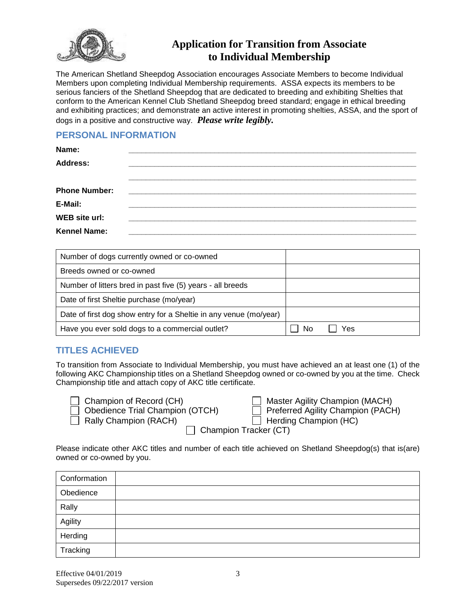

The American Shetland Sheepdog Association encourages Associate Members to become Individual Members upon completing Individual Membership requirements. ASSA expects its members to be serious fanciers of the Shetland Sheepdog that are dedicated to breeding and exhibiting Shelties that conform to the American Kennel Club Shetland Sheepdog breed standard; engage in ethical breeding and exhibiting practices; and demonstrate an active interest in promoting shelties, ASSA, and the sport of dogs in a positive and constructive way. *Please write legibly.*

## **PERSONAL INFORMATION**

| Name:                |  |
|----------------------|--|
| <b>Address:</b>      |  |
|                      |  |
| <b>Phone Number:</b> |  |
| E-Mail:              |  |
| <b>WEB</b> site url: |  |
| <b>Kennel Name:</b>  |  |

| Number of dogs currently owned or co-owned                        |           |
|-------------------------------------------------------------------|-----------|
| Breeds owned or co-owned                                          |           |
| Number of litters bred in past five (5) years - all breeds        |           |
| Date of first Sheltie purchase (mo/year)                          |           |
| Date of first dog show entry for a Sheltie in any venue (mo/year) |           |
| Have you ever sold dogs to a commercial outlet?                   | Yes<br>N٥ |

# **TITLES ACHIEVED**

To transition from Associate to Individual Membership, you must have achieved an at least one (1) of the following AKC Championship titles on a Shetland Sheepdog owned or co-owned by you at the time. Check Championship title and attach copy of AKC title certificate.

| $\Box$ Champion of Record (CH  |
|--------------------------------|
| $\Box$ Obedience Trial Champio |
| Rally Champion (RACH)          |

| Champion of Record (CH)         | Master Agility Champion (MACH)   |
|---------------------------------|----------------------------------|
| Obedience Trial Champion (OTCH) | Preferred Agility Champion (PACH |

الاسور صور العبدي Champion (MACH)<br>Preferred Agility Champion (PACH)<br>Prefing Champion (HC)

|  | Herding |
|--|---------|
|  |         |
|  |         |

 $\Box$  Champion Tracker (CT)

Please indicate other AKC titles and number of each title achieved on Shetland Sheepdog(s) that is(are) owned or co-owned by you.

| Conformation |  |
|--------------|--|
| Obedience    |  |
| Rally        |  |
| Agility      |  |
| Herding      |  |
| Tracking     |  |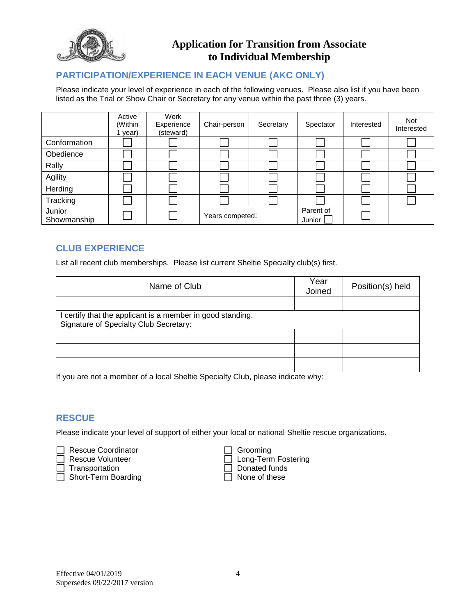

## **PARTICIPATION/EXPERIENCE IN EACH VENUE (AKC ONLY)**

Please indicate your level of experience in each of the following venues. Please also list if you have been listed as the Trial or Show Chair or Secretary for any venue within the past three (3) years.

|                       | Active<br>(Within<br>year) | Work<br>Experience<br>(steward) | Chair-person    | Secretary | Spectator           | Interested | Not<br>Interested |
|-----------------------|----------------------------|---------------------------------|-----------------|-----------|---------------------|------------|-------------------|
| Conformation          |                            |                                 |                 |           |                     |            |                   |
| Obedience             |                            |                                 |                 |           |                     |            |                   |
| Rally                 |                            |                                 |                 |           |                     |            |                   |
| Agility               |                            |                                 |                 |           |                     |            |                   |
| Herding               |                            |                                 |                 |           |                     |            |                   |
| Tracking              |                            |                                 |                 |           |                     |            |                   |
| Junior<br>Showmanship |                            |                                 | Years competed: |           | Parent of<br>Junior |            |                   |

# **CLUB EXPERIENCE**

List all recent club memberships. Please list current Sheltie Specialty club(s) first.

| Name of Club                                               | Year<br>Joined | Position(s) held |
|------------------------------------------------------------|----------------|------------------|
|                                                            |                |                  |
| I certify that the applicant is a member in good standing. |                |                  |
| Signature of Specialty Club Secretary:                     |                |                  |
|                                                            |                |                  |
|                                                            |                |                  |
|                                                            |                |                  |

If you are not a member of a local Sheltie Specialty Club, please indicate why:

#### **RESCUE**

Please indicate your level of support of either your local or national Sheltie rescue organizations.

Rescue Coordinator<br>
Rescue Volunteer
Grooming

Rescue Volunteer

Grooming

Crooming

Crooming

Crooming

Crooming

Crooming

Crooming

Crooming

Crooming

Crooming

Crooming

Crooming

Crooming

Crooming

Crooming

Croomin Transportation <br>
Short-Term Boarding 
<br>
Donated funds<br>  $\Box$  None of these  $\Box$  Short-Term Boarding

Long-Term Fostering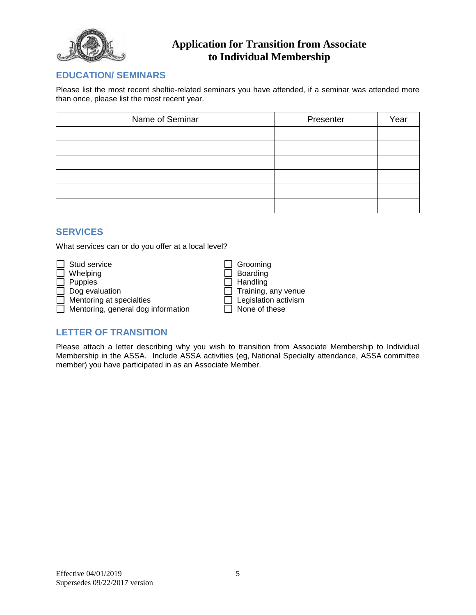

### **EDUCATION/ SEMINARS**

Please list the most recent sheltie-related seminars you have attended, if a seminar was attended more than once, please list the most recent year.

| Name of Seminar | Presenter | Year |
|-----------------|-----------|------|
|                 |           |      |
|                 |           |      |
|                 |           |      |
|                 |           |      |
|                 |           |      |
|                 |           |      |

### **SERVICES**

What services can or do you offer at a local level?

|        | $\Box$ Stud service                |
|--------|------------------------------------|
|        | $\Box$ Whelping                    |
|        | $\Box$ Puppies                     |
|        | $\Box$ Dog evaluation              |
|        | $\Box$ Mentoring at specialties    |
| $\Box$ | Mentoring, general dog information |

Grooming Boarding  $\bar{\exists}$  Handling Training, any venue Legislation activism  $\bar{1}$  None of these

# **LETTER OF TRANSITION**

Please attach a letter describing why you wish to transition from Associate Membership to Individual Membership in the ASSA. Include ASSA activities (eg, National Specialty attendance, ASSA committee member) you have participated in as an Associate Member.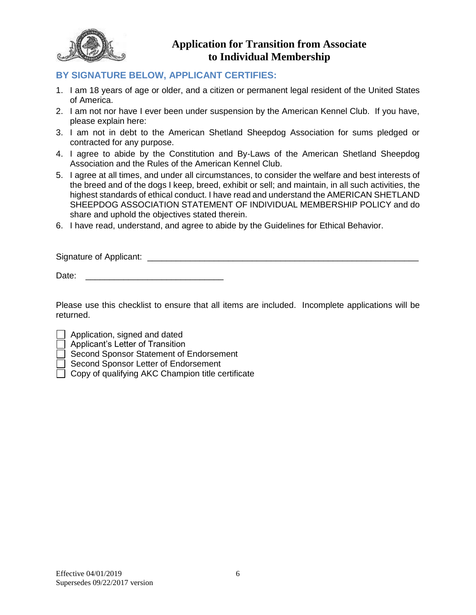

## **BY SIGNATURE BELOW, APPLICANT CERTIFIES:**

- 1. I am 18 years of age or older, and a citizen or permanent legal resident of the United States of America.
- 2. I am not nor have I ever been under suspension by the American Kennel Club. If you have, please explain here:
- 3. I am not in debt to the American Shetland Sheepdog Association for sums pledged or contracted for any purpose.
- 4. I agree to abide by the Constitution and By-Laws of the American Shetland Sheepdog Association and the Rules of the American Kennel Club.
- 5. I agree at all times, and under all circumstances, to consider the welfare and best interests of the breed and of the dogs I keep, breed, exhibit or sell; and maintain, in all such activities, the highest standards of ethical conduct. I have read and understand the AMERICAN SHETLAND SHEEPDOG ASSOCIATION STATEMENT OF INDIVIDUAL MEMBERSHIP POLICY and do share and uphold the objectives stated therein.
- 6. I have read, understand, and agree to abide by the Guidelines for Ethical Behavior.

Signature of Applicant:  $\Box$ 

Date:

Please use this checklist to ensure that all items are included. Incomplete applications will be returned.

Application, signed and dated

**Applicant's Letter of Transition** 

□ Second Sponsor Statement of Endorsement

Second Sponsor Letter of Endorsement

 $\Box$  Copy of qualifying AKC Champion title certificate